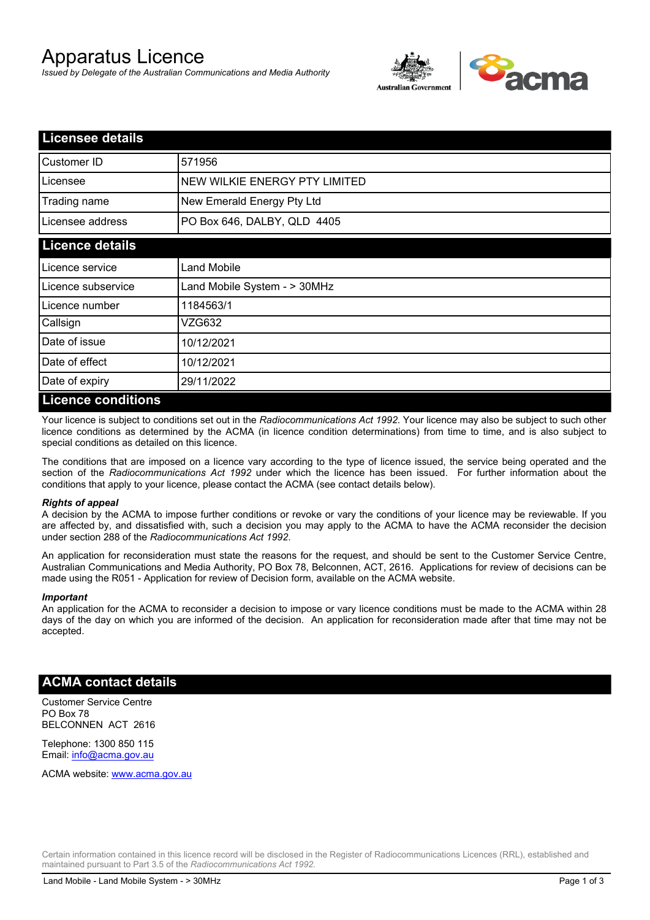# Apparatus Licence

*Issued by Delegate of the Australian Communications and Media Authority*



| <b>Licensee details</b> |                               |
|-------------------------|-------------------------------|
| <b>Customer ID</b>      | 571956                        |
| Licensee                | NEW WILKIE ENERGY PTY LIMITED |
| Trading name            | New Emerald Energy Pty Ltd    |
| Licensee address        | PO Box 646, DALBY, QLD 4405   |
| <b>Licence details</b>  |                               |
| Licence service         | Land Mobile                   |
| Licence subservice      | Land Mobile System - > 30MHz  |
| Licence number          | 1184563/1                     |
| Callsign                | VZG632                        |
| Date of issue           | 10/12/2021                    |
| Date of effect          | 10/12/2021                    |
| Date of expiry          | 29/11/2022                    |
| I iconco conditione     |                               |

## **Licence conditions**

Your licence is subject to conditions set out in the *Radiocommunications Act 1992*. Your licence may also be subject to such other licence conditions as determined by the ACMA (in licence condition determinations) from time to time, and is also subject to special conditions as detailed on this licence.

The conditions that are imposed on a licence vary according to the type of licence issued, the service being operated and the section of the *Radiocommunications Act 1992* under which the licence has been issued. For further information about the conditions that apply to your licence, please contact the ACMA (see contact details below).

## *Rights of appeal*

A decision by the ACMA to impose further conditions or revoke or vary the conditions of your licence may be reviewable. If you are affected by, and dissatisfied with, such a decision you may apply to the ACMA to have the ACMA reconsider the decision under section 288 of the *Radiocommunications Act 1992*.

An application for reconsideration must state the reasons for the request, and should be sent to the Customer Service Centre, Australian Communications and Media Authority, PO Box 78, Belconnen, ACT, 2616. Applications for review of decisions can be made using the R051 - Application for review of Decision form, available on the ACMA website.

#### *Important*

An application for the ACMA to reconsider a decision to impose or vary licence conditions must be made to the ACMA within 28 days of the day on which you are informed of the decision. An application for reconsideration made after that time may not be accepted.

## **ACMA contact details**

Customer Service Centre PO Box 78 BELCONNEN ACT 2616

Telephone: 1300 850 115 Email: info@acma.gov.au

ACMA website: www.acma.gov.au

Certain information contained in this licence record will be disclosed in the Register of Radiocommunications Licences (RRL), established and maintained pursuant to Part 3.5 of the *Radiocommunications Act 1992.*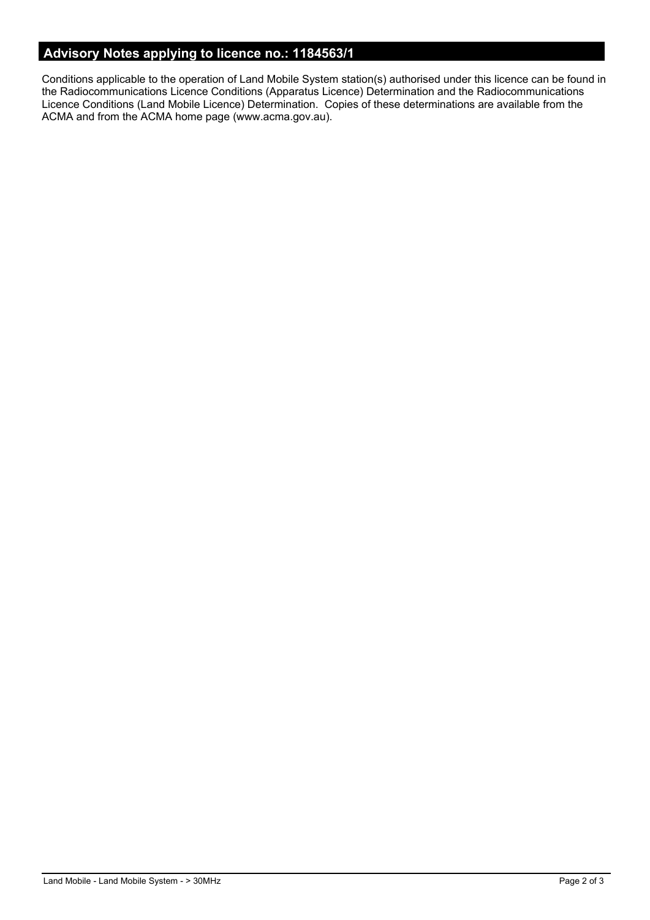# **Advisory Notes applying to licence no.: 1184563/1**

Conditions applicable to the operation of Land Mobile System station(s) authorised under this licence can be found in the Radiocommunications Licence Conditions (Apparatus Licence) Determination and the Radiocommunications Licence Conditions (Land Mobile Licence) Determination. Copies of these determinations are available from the ACMA and from the ACMA home page (www.acma.gov.au).